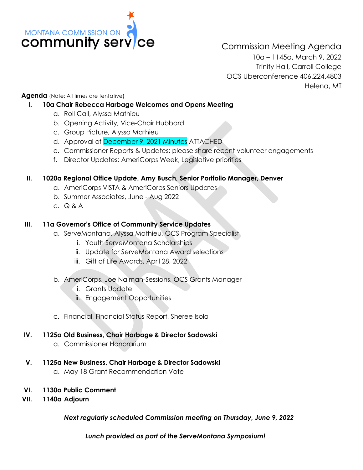

Commission Meeting Agenda 10a – 1145a, March 9, 2022 Trinity Hall, Carroll College OCS Uberconference 406.224.4803 Helena, MT

**Agenda** (Note: All times are tentative)

### **I. 10a Chair Rebecca Harbage Welcomes and Opens Meeting**

- a. Roll Call, Alyssa Mathieu
- b. Opening Activity, Vice-Chair Hubbard
- c. Group Picture, Alyssa Mathieu
- d. Approval of December 9, 2021 Minutes ATTACHED
- e. Commissioner Reports & Updates: please share recent volunteer engagements
- f. Director Updates: AmeriCorps Week, Legislative priorities

### **II. 1020a Regional Office Update, Amy Busch, Senior Portfolio Manager, Denver**

- a. AmeriCorps VISTA & AmeriCorps Seniors Updates
- b. Summer Associates, June Aug 2022
- c. Q & A

## **III. 11a Governor's Office of Community Service Updates**

- a. ServeMontana, Alyssa Mathieu, OCS Program Specialist
	- i. Youth ServeMontana Scholarships
	- ii. Update for ServeMontana Award selections
	- iii. Gift of Life Awards, April 28, 2022

### b. AmeriCorps, Joe Naiman-Sessions, OCS Grants Manager

- i. Grants Update
- ii. Engagement Opportunities
- c. Financial, Financial Status Report, Sheree Isola

### **IV. 1125a Old Business, Chair Harbage & Director Sadowski**

- a. Commissioner Honorarium
- **V. 1125a New Business, Chair Harbage & Director Sadowski**
	- a. May 18 Grant Recommendation Vote
- **VI. 1130a Public Comment**
- **VII. 1140a Adjourn**

*Next regularly scheduled Commission meeting on Thursday, June 9, 2022*

*Lunch provided as part of the ServeMontana Symposium!*